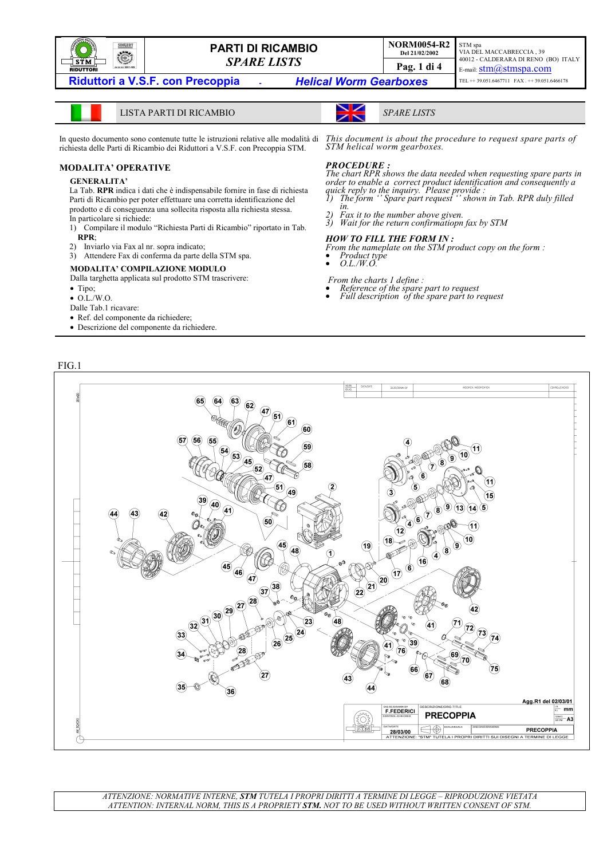

**MODALITA' OPERATIVE**

In particolare si richiede:

2) Inviarlo via Fax al nr. sopra indicato;

• Ref. del componente da richiedere; • Descrizione del componente da richiedere.

3) Attendere Fax di conferma da parte della STM spa. **MODALITA' COMPILAZIONE MODULO** Dalla targhetta applicata sul prodotto STM trascrivere:

**GENERALITA'**

**RPR**;

• Tipo; • O.L./W.O. Dalle Tab.1 ricavare:

## **PARTI DI RICAMBIO DEL 21/02/2002** *SPARE LISTS* **Pag. 1 di 4**

**Riduttori a V.S.F. con Precoppia -** *Helical Worm Gearboxes*

STM spa VIA DEL MACCABRECCIA , 39 40012 - CALDERARA DI RENO (BO) ITALY  $E$ -mail:  $strn@strnspa.com$ TEL ++ 39.051.6467711 FAX . ++ 39.051.6466178

LISTA PARTI DI RICAMBIO *SPARE LISTS*

richiesta delle Parti di Ricambio dei Riduttori a V.S.F. con Precoppia STM.

La Tab. **RPR** indica i dati che è indispensabile fornire in fase di richiesta Parti di Ricambio per poter effettuare una corretta identificazione del prodotto e di conseguenza una sollecita risposta alla richiesta stessa.

1) Compilare il modulo "Richiesta Parti di Ricambio" riportato in Tab.

In questo documento sono contenute tutte le istruzioni relative alle modalità di This document is about the procedure to request spare parts of *STM helical worm gearboxes.*

#### *PROCEDURE :*

*The chart RPR shows the data needed when requesting spare parts in order to enable a correct product identification and consequently a quick reply to the inquiry. Please provide : 1) The form '' Spare part request '' shown in Tab. RPR duly filled*

- *in.*
- *2) Fax it to the number above given. 3) Wait for the return confirmatiopn fax by STM*

#### *HOW TO FILL THE FORM IN :*

- *From the nameplate on the STM product copy on the form :*
- *Product type O.L./W.O.*
- 

 *From the charts 1 define :*

- *Reference of the spare part to request Full description of the spare part to request*
- 
- $(65)$  $(64)$  $(63)$  $(62)$  $\widehat{47}$  $\circledast$ E  $\circled{6}$  $\circledast$  $(57)$   $(56)$ 65  $\frac{63}{45}$  $(59)$ 11 <u>බෙ</u>  $\widehat{\bf 10}$ ூ  $\bigodot^{\mathcal{B}}$ (58) റ े<br>6  $\widehat{\mathbf{A7}}$ (11)  $\odot$ 49 15) િવ 40 Œ ′୭  $\overline{A}$  (5) 43)  $\widehat{41}$ È.  $\sqrt{43}$ 4à  $\overline{A2}$  $\phi^{\circ}$  $\langle \overline{7}$ 60 41  $\widehat{12}$ 10  $\widehat{A}$ 45 ⊛ (19 ∕৹ en de la década de la década de la década de la década de la década de la década de la década de la década de<br>La década de la década de la década de la década de la década de la década de la década de la década de la déc 48)  $\ddot{\mathbf{8}}$ ∩  $\vec{\bf{a}}$  $\widehat{A6}$  $\widehat{A5}$ ନ  $\vec{c}$  $\overrightarrow{46}$  $\hat{r}$  $\widetilde{\mathcal{A}}$  $\widehat{\mathbf{20}}$  $\frac{1}{22}$  (21)  $\circledcirc$  $\left(37\right)$  $\frac{32}{32}$   $\frac{30}{29}$   $\frac{27}{27}$  $\widehat{\mathbf{28}}$ 42 ė  $\widehat{23}$ 48  $\widehat{\mathbf{z}}$  $(24)$  $\widehat{z}$  $\widehat{33}$  $\widehat{a}$ ଈ  $\mathbf{25}$ <u>(૩૦</u>  $(26)$ ঞ  $\hat{ }$  (28)  $\widehat{76}$ 34 69 Ř T ை  $\bf$  66) (75) Z  $\left( \widehat{27}\right)$  $\widehat{57}$ 43  $\widehat{\mathbf{68}}$  $\circled{35}$ -0 4۷  $\mathbf{\widehat{36}}$ Agg.R1 del 02/03/01  $m<sub>m</sub>$ **F.FEDERICI PRECOPPIA**  $\frac{1000000}{500000}$  A3 AM SQADA  $1\overline{\mathbb{A}}$ PRECOPPIA **28/03/00**<br>ATTENZIONE "STM" TUTELA I PROPRI DIRITTI SUI DISEGNI A TERMINE DI LEGGE đ

### FIG.1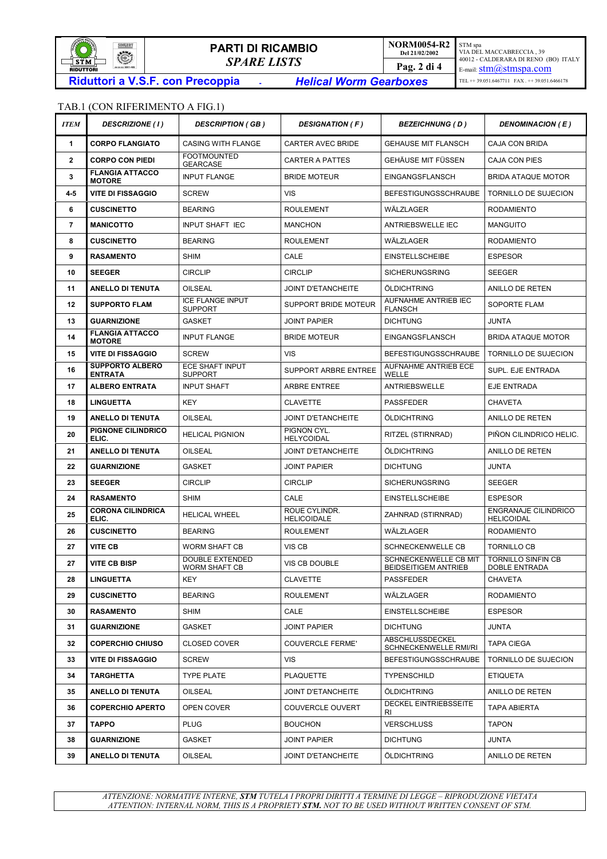

# **PARTI DI RICAMBIO DEL 21/02/2002** *SPARE LISTS* **Pag. 2 di 4**

STM spa VIA DEL MACCABRECCIA , 39 40012 - CALDERARA DI RENO (BO) ITALY E-mail: **stm**@stmspa.com TEL ++ 39.051.6467711 FAX . ++ 39.051.6466178

## **Riduttori a V.S.F. con Precoppia -** *Helical Worm Gearboxes*

## TAB.1 (CON RIFERIMENTO A FIG.1)

| <b>ITEM</b>    | <b>DESCRIZIONE</b> (1)                   | <b>DESCRIPTION (GB)</b>                        | <b>DESIGNATION (F)</b>              | <b>BEZEICHNUNG (D)</b>                                      | <b>DENOMINACION (E)</b>                          |
|----------------|------------------------------------------|------------------------------------------------|-------------------------------------|-------------------------------------------------------------|--------------------------------------------------|
| $\mathbf{1}$   | <b>CORPO FLANGIATO</b>                   | <b>CASING WITH FLANGE</b>                      | <b>CARTER AVEC BRIDE</b>            | <b>GEHAUSE MIT FLANSCH</b>                                  | CAJA CON BRIDA                                   |
| $\mathbf{2}$   | <b>CORPO CON PIEDI</b>                   | <b>FOOTMOUNTED</b><br><b>GEARCASE</b>          | <b>CARTER A PATTES</b>              | GEHÄUSE MIT FÜSSEN                                          | CAJA CON PIES                                    |
| 3              | <b>FLANGIA ATTACCO</b><br><b>MOTORE</b>  | <b>INPUT FLANGE</b>                            | <b>BRIDE MOTEUR</b>                 | <b>EINGANGSFLANSCH</b>                                      | <b>BRIDA ATAQUE MOTOR</b>                        |
| 4-5            | <b>VITE DI FISSAGGIO</b>                 | <b>SCREW</b>                                   | <b>VIS</b>                          | <b>BEFESTIGUNGSSCHRAUBE</b>                                 | TORNILLO DE SUJECION                             |
| 6              | <b>CUSCINETTO</b>                        | <b>BEARING</b>                                 | <b>ROULEMENT</b>                    | WÄLZLAGER                                                   | <b>RODAMIENTO</b>                                |
| $\overline{7}$ | <b>MANICOTTO</b>                         | <b>INPUT SHAFT IEC</b>                         | <b>MANCHON</b>                      | <b>ANTRIEBSWELLE IEC</b>                                    | <b>MANGUITO</b>                                  |
| 8              | <b>CUSCINETTO</b>                        | <b>BEARING</b>                                 | <b>ROULEMENT</b>                    | WÄLZLAGER                                                   | <b>RODAMIENTO</b>                                |
| 9              | <b>RASAMENTO</b>                         | <b>SHIM</b>                                    | CALE                                | <b>EINSTELLSCHEIBE</b>                                      | <b>ESPESOR</b>                                   |
| 10             | <b>SEEGER</b>                            | <b>CIRCLIP</b>                                 | <b>CIRCLIP</b>                      | <b>SICHERUNGSRING</b>                                       | <b>SEEGER</b>                                    |
| 11             | <b>ANELLO DI TENUTA</b>                  | OILSEAL                                        | <b>JOINT D'ETANCHEITE</b>           | ÖLDICHTRING                                                 | ANILLO DE RETEN                                  |
| 12             | <b>SUPPORTO FLAM</b>                     | <b>ICE FLANGE INPUT</b><br><b>SUPPORT</b>      | <b>SUPPORT BRIDE MOTEUR</b>         | AUFNAHME ANTRIEB IEC<br><b>FLANSCH</b>                      | <b>SOPORTE FLAM</b>                              |
| 13             | <b>GUARNIZIONE</b>                       | <b>GASKET</b>                                  | <b>JOINT PAPIER</b>                 | <b>DICHTUNG</b>                                             | <b>JUNTA</b>                                     |
| 14             | <b>FLANGIA ATTACCO</b><br><b>MOTORE</b>  | <b>INPUT FLANGE</b>                            | <b>BRIDE MOTEUR</b>                 | EINGANGSFLANSCH                                             | <b>BRIDA ATAQUE MOTOR</b>                        |
| 15             | <b>VITE DI FISSAGGIO</b>                 | <b>SCREW</b>                                   | <b>VIS</b>                          | <b>BEFESTIGUNGSSCHRAUBE</b>                                 | <b>TORNILLO DE SUJECION</b>                      |
| 16             | <b>SUPPORTO ALBERO</b><br><b>ENTRATA</b> | <b>ECE SHAFT INPUT</b><br><b>SUPPORT</b>       | SUPPORT ARBRE ENTREE                | <b>AUFNAHME ANTRIEB ECE</b><br>WELLE                        | SUPL. EJE ENTRADA                                |
| 17             | <b>ALBERO ENTRATA</b>                    | <b>INPUT SHAFT</b>                             | <b>ARBRE ENTREE</b>                 | <b>ANTRIEBSWELLE</b>                                        | EJE ENTRADA                                      |
| 18             | <b>LINGUETTA</b>                         | <b>KEY</b>                                     | <b>CLAVETTE</b>                     | <b>PASSFEDER</b>                                            | <b>CHAVETA</b>                                   |
| 19             | <b>ANELLO DI TENUTA</b>                  | OILSEAL                                        | <b>JOINT D'ETANCHEITE</b>           | ÖLDICHTRING                                                 | <b>ANILLO DE RETEN</b>                           |
| 20             | PIGNONE CILINDRICO<br>ELIC.              | <b>HELICAL PIGNION</b>                         | PIGNON CYL.<br><b>HELYCOIDAL</b>    | RITZEL (STIRNRAD)                                           | PIÑON CILINDRICO HELIC.                          |
| 21             | ANELLO DI TENUTA                         | OILSEAL                                        | <b>JOINT D'ETANCHEITE</b>           | ÖLDICHTRING                                                 | ANILLO DE RETEN                                  |
| 22             | <b>GUARNIZIONE</b>                       | <b>GASKET</b>                                  | <b>JOINT PAPIER</b>                 | <b>DICHTUNG</b>                                             | <b>JUNTA</b>                                     |
| 23             | <b>SEEGER</b>                            | <b>CIRCLIP</b>                                 | <b>CIRCLIP</b>                      | <b>SICHERUNGSRING</b>                                       | <b>SEEGER</b>                                    |
| 24             | <b>RASAMENTO</b>                         | <b>SHIM</b>                                    | CALE                                | <b>EINSTELLSCHEIBE</b>                                      | <b>ESPESOR</b>                                   |
| 25             | <b>CORONA CILINDRICA</b><br>ELIC.        | <b>HELICAL WHEEL</b>                           | ROUE CYLINDR.<br><b>HELICOIDALE</b> | ZAHNRAD (STIRNRAD)                                          | <b>ENGRANAJE CILINDRICO</b><br><b>HELICOIDAL</b> |
| 26             | <b>CUSCINETTO</b>                        | <b>BEARING</b>                                 | <b>ROULEMENT</b>                    | WÄLZLAGER                                                   | <b>RODAMIENTO</b>                                |
| 27             | <b>VITE CB</b>                           | <b>WORM SHAFT CB</b>                           | VIS CB                              | <b>SCHNECKENWELLE CB</b>                                    | <b>TORNILLO CB</b>                               |
| 27             | <b>VITE CB BISP</b>                      | <b>DOUBLE EXTENDED</b><br><b>WORM SHAFT CB</b> | VIS CB DOUBLE                       | <b>SCHNECKENWELLE CB MIT</b><br><b>BEIDSEITIGEM ANTRIEB</b> | <b>TORNILLO SINFIN CB</b><br>DOBLE ENTRADA       |
| 28             | LINGUETTA                                | <b>KEY</b>                                     | <b>CLAVETTE</b>                     | <b>PASSFEDER</b>                                            | <b>CHAVETA</b>                                   |
| 29             | <b>CUSCINETTO</b>                        | <b>BEARING</b>                                 | <b>ROULEMENT</b>                    | WÄLZLAGER                                                   | <b>RODAMIENTO</b>                                |
| 30             | <b>RASAMENTO</b>                         | SHIM                                           | CALE                                | <b>EINSTELLSCHEIBE</b>                                      | <b>ESPESOR</b>                                   |
| 31             | <b>GUARNIZIONE</b>                       | GASKET                                         | <b>JOINT PAPIER</b>                 | <b>DICHTUNG</b>                                             | <b>JUNTA</b>                                     |
| 32             | <b>COPERCHIO CHIUSO</b>                  | <b>CLOSED COVER</b>                            | <b>COUVERCLE FERME'</b>             | ABSCHLUSSDECKEL<br>SCHNECKENWELLE RMI/RI                    | <b>TAPA CIEGA</b>                                |
| 33             | VITE DI FISSAGGIO                        | <b>SCREW</b>                                   | <b>VIS</b>                          | <b>BEFESTIGUNGSSCHRAUBE</b>                                 | TORNILLO DE SUJECION                             |
| 34             | <b>TARGHETTA</b>                         | <b>TYPE PLATE</b>                              | <b>PLAQUETTE</b>                    | TYPENSCHILD                                                 | <b>ETIQUETA</b>                                  |
| 35             | <b>ANELLO DI TENUTA</b>                  | OILSEAL                                        | <b>JOINT D'ETANCHEITE</b>           | ÖLDICHTRING                                                 | ANILLO DE RETEN                                  |
| 36             | <b>COPERCHIO APERTO</b>                  | OPEN COVER                                     | COUVERCLE OUVERT                    | DECKEL EINTRIEBSSEITE<br>RI                                 | TAPA ABIERTA                                     |
| 37             | <b>TAPPO</b>                             | <b>PLUG</b>                                    | <b>BOUCHON</b>                      | <b>VERSCHLUSS</b>                                           | <b>TAPON</b>                                     |
| 38             | <b>GUARNIZIONE</b>                       | GASKET                                         | <b>JOINT PAPIER</b>                 | <b>DICHTUNG</b>                                             | JUNTA                                            |
| 39             | ANELLO DI TENUTA                         | OILSEAL                                        | JOINT D'ETANCHEITE                  | ÖLDICHTRING                                                 | ANILLO DE RETEN                                  |

*ATTENZIONE: NORMATIVE INTERNE, STM TUTELA I PROPRI DIRITTI A TERMINE DI LEGGE – RIPRODUZIONE VIETATA ATTENTION: INTERNAL NORM, THIS IS A PROPRIETY STM. NOT TO BE USED WITHOUT WRITTEN CONSENT OF STM.*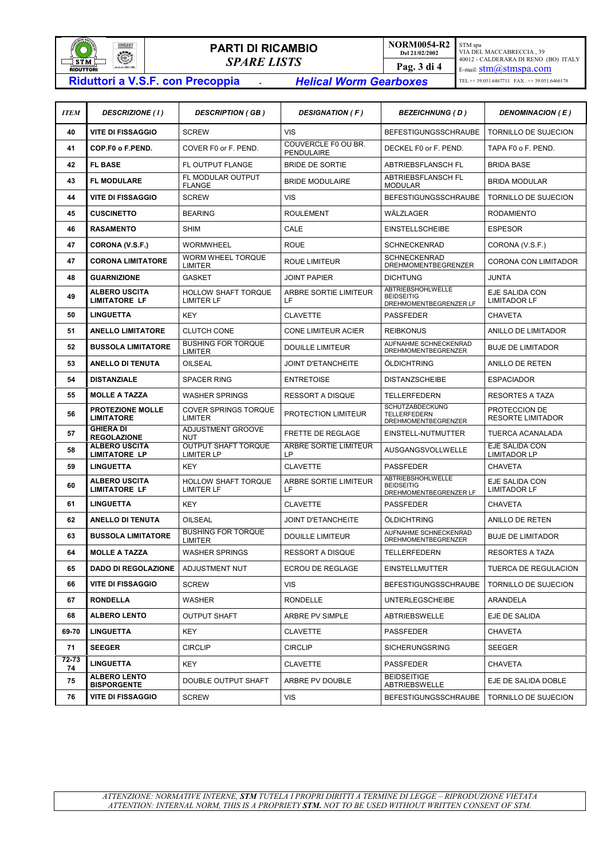

# **PARTI DI RICAMBIO DEL 21/02/2002 SPARE LISTS** Pag. 3 di 4

STM spa VIA DEL MACCABRECCIA , 39 40012 - CALDERARA DI RENO (BO) ITALY E-mail: **stm**@stmspa.com TEL ++ 39.051.6467711 FAX . ++ 39.051.6466178

| <b>ITEM</b> | <b>DESCRIZIONE (1)</b>                       | <b>DESCRIPTION (GB)</b>                         | <b>DESIGNATION (F)</b>             | <b>BEZEICHNUNG (D)</b>                                                  | <b>DENOMINACION (E)</b>                   |
|-------------|----------------------------------------------|-------------------------------------------------|------------------------------------|-------------------------------------------------------------------------|-------------------------------------------|
| 40          | <b>VITE DI FISSAGGIO</b>                     | <b>SCREW</b>                                    | <b>VIS</b>                         | <b>BEFESTIGUNGSSCHRAUBE</b>                                             | TORNILLO DE SUJECION                      |
| 41          | <b>COP.FO o F.PEND.</b>                      | COVER F0 or F. PEND.                            | COUVERCLE F0 OU BR.<br>PENDULAIRE  | DECKEL F0 or F. PEND.                                                   | TAPA F0 o F. PEND.                        |
| 42          | <b>FL BASE</b>                               | FL OUTPUT FLANGE                                | <b>BRIDE DE SORTIE</b>             | ABTRIEBSFLANSCH FL                                                      | <b>BRIDA BASE</b>                         |
| 43          | <b>FL MODULARE</b>                           | FL MODULAR OUTPUT<br><b>FLANGE</b>              | <b>BRIDE MODULAIRE</b>             | ABTRIEBSFLANSCH FL<br><b>MODULAR</b>                                    | <b>BRIDA MODULAR</b>                      |
| 44          | VITE DI FISSAGGIO                            | <b>SCREW</b>                                    | <b>VIS</b>                         | <b>BEFESTIGUNGSSCHRAUBE</b>                                             | TORNILLO DE SUJECION                      |
| 45          | <b>CUSCINETTO</b>                            | <b>BEARING</b>                                  | <b>ROULEMENT</b>                   | WÄLZLAGER                                                               | <b>RODAMIENTO</b>                         |
| 46          | <b>RASAMENTO</b>                             | <b>SHIM</b>                                     | CALE                               | <b>EINSTELLSCHEIBE</b>                                                  | <b>ESPESOR</b>                            |
| 47          | <b>CORONA (V.S.F.)</b>                       | <b>WORMWHEEL</b>                                | <b>ROUE</b>                        | <b>SCHNECKENRAD</b>                                                     | CORONA (V.S.F.)                           |
| 47          | <b>CORONA LIMITATORE</b>                     | WORM WHEEL TORQUE<br><b>LIMITER</b>             | <b>ROUE LIMITEUR</b>               | <b>SCHNECKENRAD</b><br>DREHMOMENTBEGRENZER                              | CORONA CON LIMITADOR                      |
| 48          | <b>GUARNIZIONE</b>                           | <b>GASKET</b>                                   | <b>JOINT PAPIER</b>                | <b>DICHTUNG</b>                                                         | <b>JUNTA</b>                              |
| 49          | ALBERO USCITA<br><b>LIMITATORE LF</b>        | <b>HOLLOW SHAFT TORQUE</b><br><b>LIMITER LF</b> | ARBRE SORTIE LIMITEUR<br>LF.       | ABTRIEBSHOHLWELLE<br><b>BEIDSEITIG</b><br>DREHMOMENTBEGRENZER LF        | EJE SALIDA CON<br><b>LIMITADOR LF</b>     |
| 50          | <b>LINGUETTA</b>                             | <b>KEY</b>                                      | <b>CLAVETTE</b>                    | PASSFEDER                                                               | <b>CHAVETA</b>                            |
| 51          | <b>ANELLO LIMITATORE</b>                     | <b>CLUTCH CONE</b>                              | <b>CONE LIMITEUR ACIER</b>         | <b>REIBKONUS</b>                                                        | ANILLO DE LIMITADOR                       |
| 52          | <b>BUSSOLA LIMITATORE</b>                    | <b>BUSHING FOR TORQUE</b><br><b>LIMITER</b>     | <b>DOUILLE LIMITEUR</b>            | <b>AUFNAHME SCHNECKENRAD</b><br>DREHMOMENTBEGRENZER                     | <b>BUJE DE LIMITADOR</b>                  |
| 53          | <b>ANELLO DI TENUTA</b>                      | <b>OILSEAL</b>                                  | JOINT D'ETANCHEITE                 | ÖLDICHTRING                                                             | ANILLO DE RETEN                           |
| 54          | <b>DISTANZIALE</b>                           | <b>SPACER RING</b>                              | <b>ENTRETOISE</b>                  | <b>DISTANZSCHEIBE</b>                                                   | <b>ESPACIADOR</b>                         |
| 55          | <b>MOLLE A TAZZA</b>                         | <b>WASHER SPRINGS</b>                           | <b>RESSORT A DISQUE</b>            | <b>TELLERFEDERN</b>                                                     | RESORTES A TAZA                           |
| 56          | <b>PROTEZIONE MOLLE</b><br><b>LIMITATORE</b> | <b>COVER SPRINGS TORQUE</b><br><b>LIMITER</b>   | PROTECTION LIMITEUR                | <b>SCHUTZABDECKUNG</b><br><b>TELLERFEDERN</b><br>DREHMOMENTBEGRENZER    | PROTECCION DE<br><b>RESORTE LIMITADOR</b> |
| 57          | <b>GHIERA DI</b><br><b>REGOLAZIONE</b>       | ADJUSTMENT GROOVE<br><b>NUT</b>                 | FRETTE DE REGLAGE                  | EINSTELL-NUTMUTTER                                                      | TUERCA ACANALADA                          |
| 58          | <b>ALBERO USCITA</b><br><b>LIMITATORE LP</b> | OUTPUT SHAFT TORQUE<br><b>LIMITER LP</b>        | ARBRE SORTIE LIMITEUR<br><b>LP</b> | AUSGANGSVOLLWELLE                                                       | EJE SALIDA CON<br><b>LIMITADOR LP</b>     |
| 59          | <b>LINGUETTA</b>                             | <b>KEY</b>                                      | <b>CLAVETTE</b>                    | <b>PASSFEDER</b>                                                        | <b>CHAVETA</b>                            |
| 60          | <b>ALBERO USCITA</b><br><b>LIMITATORE LF</b> | HOLLOW SHAFT TORQUE<br><b>LIMITER LF</b>        | ARBRE SORTIE LIMITEUR<br>LF        | <b>ABTRIEBSHOHLWELLE</b><br><b>BEIDSEITIG</b><br>DREHMOMENTBEGRENZER LF | EJE SALIDA CON<br><b>LIMITADOR LF</b>     |
| 61          | <b>LINGUETTA</b>                             | <b>KEY</b>                                      | <b>CLAVETTE</b>                    | <b>PASSFEDER</b>                                                        | <b>CHAVETA</b>                            |
| 62          | <b>ANELLO DI TENUTA</b>                      | OILSEAL                                         | <b>JOINT D'ETANCHEITE</b>          | ÖLDICHTRING                                                             | ANILLO DE RETEN                           |
| 63          | <b>BUSSOLA LIMITATORE</b>                    | <b>BUSHING FOR TORQUE</b><br><b>LIMITER</b>     | <b>DOUILLE LIMITEUR</b>            | AUFNAHME SCHNECKENRAD<br>DREHMOMENTBEGRENZER                            | <b>BUJE DE LIMITADOR</b>                  |
| 64          | <b>MOLLE A TAZZA</b>                         | <b>WASHER SPRINGS</b>                           | <b>RESSORT A DISQUE</b>            | <b>TELLERFEDERN</b>                                                     | <b>RESORTES A TAZA</b>                    |
| 65          | <b>DADO DI REGOLAZIONE</b>                   | ADJUSTMENT NUT                                  | ECROU DE REGLAGE                   | <b>EINSTELLMUTTER</b>                                                   | TUERCA DE REGULACION                      |
| 66          | VITE DI FISSAGGIO                            | <b>SCREW</b>                                    | <b>VIS</b>                         | <b>BEFESTIGUNGSSCHRAUBE</b>                                             | TORNILLO DE SUJECION                      |
| 67          | <b>RONDELLA</b>                              | WASHER                                          | <b>RONDELLE</b>                    | <b>UNTERLEGSCHEIBE</b>                                                  | ARANDELA                                  |
| 68          | <b>ALBERO LENTO</b>                          | <b>OUTPUT SHAFT</b>                             | ARBRE PV SIMPLE                    | <b>ABTRIEBSWELLE</b>                                                    | EJE DE SALIDA                             |
| 69-70       | LINGUETTA                                    | KEY                                             | <b>CLAVETTE</b>                    | PASSFEDER                                                               | CHAVETA                                   |
| 71          | <b>SEEGER</b>                                | <b>CIRCLIP</b>                                  | <b>CIRCLIP</b>                     | <b>SICHERUNGSRING</b>                                                   | <b>SEEGER</b>                             |
| 72-73<br>74 | LINGUETTA                                    | KEY                                             | <b>CLAVETTE</b>                    | <b>PASSFEDER</b>                                                        | <b>CHAVETA</b>                            |
| 75          | <b>ALBERO LENTO</b><br><b>BISPORGENTE</b>    | DOUBLE OUTPUT SHAFT                             | ARBRE PV DOUBLE                    | <b>BEIDSEITIGE</b><br>ABTRIEBSWELLE                                     | EJE DE SALIDA DOBLE                       |
| 76          | <b>VITE DI FISSAGGIO</b>                     | <b>SCREW</b>                                    | VIS                                | <b>BEFESTIGUNGSSCHRAUBE</b>                                             | TORNILLO DE SUJECION                      |

*ATTENZIONE: NORMATIVE INTERNE, STM TUTELA I PROPRI DIRITTI A TERMINE DI LEGGE – RIPRODUZIONE VIETATA ATTENTION: INTERNAL NORM, THIS IS A PROPRIETY STM. NOT TO BE USED WITHOUT WRITTEN CONSENT OF STM.*